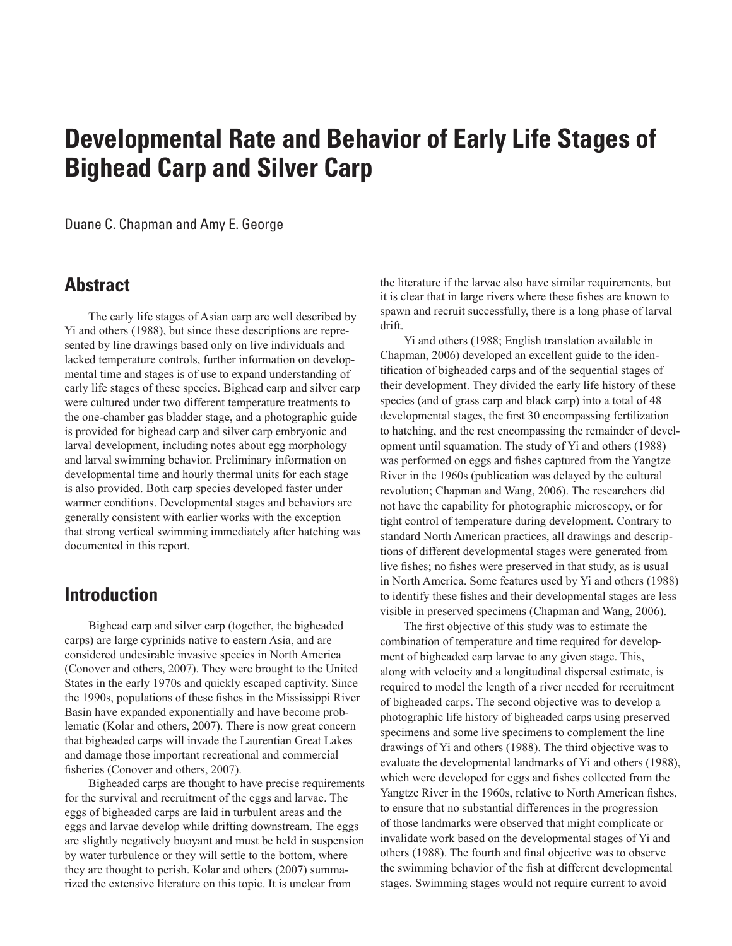# **Developmental Rate and Behavior of Early Life Stages of Bighead Carp and Silver Carp**

Duane C. Chapman and Amy E. George

# **Abstract**

The early life stages of Asian carp are well described by Yi and others (1988), but since these descriptions are represented by line drawings based only on live individuals and lacked temperature controls, further information on developmental time and stages is of use to expand understanding of early life stages of these species. Bighead carp and silver carp were cultured under two different temperature treatments to the one-chamber gas bladder stage, and a photographic guide is provided for bighead carp and silver carp embryonic and larval development, including notes about egg morphology and larval swimming behavior. Preliminary information on developmental time and hourly thermal units for each stage is also provided. Both carp species developed faster under warmer conditions. Developmental stages and behaviors are generally consistent with earlier works with the exception that strong vertical swimming immediately after hatching was documented in this report.

# **Introduction**

Bighead carp and silver carp (together, the bigheaded carps) are large cyprinids native to eastern Asia, and are considered undesirable invasive species in North America (Conover and others, 2007). They were brought to the United States in the early 1970s and quickly escaped captivity. Since the 1990s, populations of these fishes in the Mississippi River Basin have expanded exponentially and have become problematic (Kolar and others, 2007). There is now great concern that bigheaded carps will invade the Laurentian Great Lakes and damage those important recreational and commercial fisheries (Conover and others, 2007).

Bigheaded carps are thought to have precise requirements for the survival and recruitment of the eggs and larvae. The eggs of bigheaded carps are laid in turbulent areas and the eggs and larvae develop while drifting downstream. The eggs are slightly negatively buoyant and must be held in suspension by water turbulence or they will settle to the bottom, where they are thought to perish. Kolar and others (2007) summarized the extensive literature on this topic. It is unclear from

the literature if the larvae also have similar requirements, but it is clear that in large rivers where these fishes are known to spawn and recruit successfully, there is a long phase of larval drift.

Yi and others (1988; English translation available in Chapman, 2006) developed an excellent guide to the identification of bigheaded carps and of the sequential stages of their development. They divided the early life history of these species (and of grass carp and black carp) into a total of 48 developmental stages, the first 30 encompassing fertilization to hatching, and the rest encompassing the remainder of development until squamation. The study of Yi and others (1988) was performed on eggs and fishes captured from the Yangtze River in the 1960s (publication was delayed by the cultural revolution; Chapman and Wang, 2006). The researchers did not have the capability for photographic microscopy, or for tight control of temperature during development. Contrary to standard North American practices, all drawings and descriptions of different developmental stages were generated from live fishes; no fishes were preserved in that study, as is usual in North America. Some features used by Yi and others (1988) to identify these fishes and their developmental stages are less visible in preserved specimens (Chapman and Wang, 2006).

The first objective of this study was to estimate the combination of temperature and time required for development of bigheaded carp larvae to any given stage. This, along with velocity and a longitudinal dispersal estimate, is required to model the length of a river needed for recruitment of bigheaded carps. The second objective was to develop a photographic life history of bigheaded carps using preserved specimens and some live specimens to complement the line drawings of Yi and others (1988). The third objective was to evaluate the developmental landmarks of Yi and others (1988), which were developed for eggs and fishes collected from the Yangtze River in the 1960s, relative to North American fishes, to ensure that no substantial differences in the progression of those landmarks were observed that might complicate or invalidate work based on the developmental stages of Yi and others (1988). The fourth and final objective was to observe the swimming behavior of the fish at different developmental stages. Swimming stages would not require current to avoid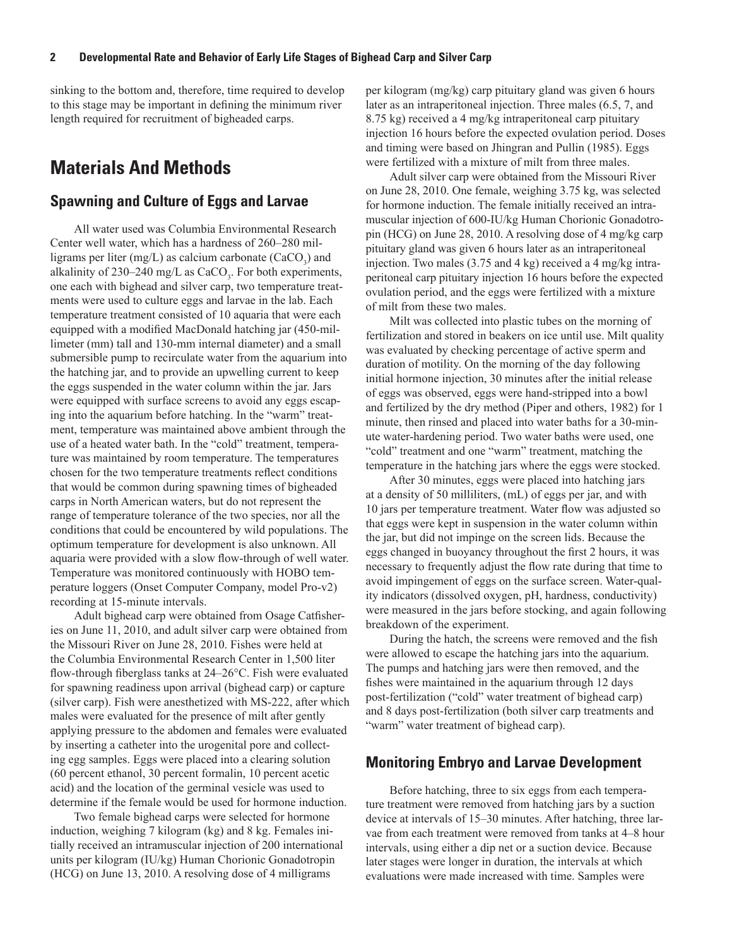sinking to the bottom and, therefore, time required to develop to this stage may be important in defining the minimum river length required for recruitment of bigheaded carps.

# **Materials And Methods**

#### **Spawning and Culture of Eggs and Larvae**

All water used was Columbia Environmental Research Center well water, which has a hardness of 260–280 milligrams per liter (mg/L) as calcium carbonate  $(CaCO<sub>3</sub>)$  and alkalinity of 230–240 mg/L as  $CaCO<sub>3</sub>$ . For both experiments, one each with bighead and silver carp, two temperature treatments were used to culture eggs and larvae in the lab. Each temperature treatment consisted of 10 aquaria that were each equipped with a modified MacDonald hatching jar (450-millimeter (mm) tall and 130-mm internal diameter) and a small submersible pump to recirculate water from the aquarium into the hatching jar, and to provide an upwelling current to keep the eggs suspended in the water column within the jar. Jars were equipped with surface screens to avoid any eggs escaping into the aquarium before hatching. In the "warm" treatment, temperature was maintained above ambient through the use of a heated water bath. In the "cold" treatment, temperature was maintained by room temperature. The temperatures chosen for the two temperature treatments reflect conditions that would be common during spawning times of bigheaded carps in North American waters, but do not represent the range of temperature tolerance of the two species, nor all the conditions that could be encountered by wild populations. The optimum temperature for development is also unknown. All aquaria were provided with a slow flow-through of well water. Temperature was monitored continuously with HOBO temperature loggers (Onset Computer Company, model Pro-v2) recording at 15-minute intervals.

Adult bighead carp were obtained from Osage Catfisheries on June 11, 2010, and adult silver carp were obtained from the Missouri River on June 28, 2010. Fishes were held at the Columbia Environmental Research Center in 1,500 liter flow-through fiberglass tanks at 24–26°C. Fish were evaluated for spawning readiness upon arrival (bighead carp) or capture (silver carp). Fish were anesthetized with MS-222, after which males were evaluated for the presence of milt after gently applying pressure to the abdomen and females were evaluated by inserting a catheter into the urogenital pore and collecting egg samples. Eggs were placed into a clearing solution (60 percent ethanol, 30 percent formalin, 10 percent acetic acid) and the location of the germinal vesicle was used to determine if the female would be used for hormone induction.

Two female bighead carps were selected for hormone induction, weighing 7 kilogram (kg) and 8 kg. Females initially received an intramuscular injection of 200 international units per kilogram (IU/kg) Human Chorionic Gonadotropin (HCG) on June 13, 2010. A resolving dose of 4 milligrams

per kilogram (mg/kg) carp pituitary gland was given 6 hours later as an intraperitoneal injection. Three males (6.5, 7, and 8.75 kg) received a 4 mg/kg intraperitoneal carp pituitary injection 16 hours before the expected ovulation period. Doses and timing were based on Jhingran and Pullin (1985). Eggs were fertilized with a mixture of milt from three males.

Adult silver carp were obtained from the Missouri River on June 28, 2010. One female, weighing 3.75 kg, was selected for hormone induction. The female initially received an intramuscular injection of 600-IU/kg Human Chorionic Gonadotropin (HCG) on June 28, 2010. A resolving dose of 4 mg/kg carp pituitary gland was given 6 hours later as an intraperitoneal injection. Two males (3.75 and 4 kg) received a 4 mg/kg intraperitoneal carp pituitary injection 16 hours before the expected ovulation period, and the eggs were fertilized with a mixture of milt from these two males.

Milt was collected into plastic tubes on the morning of fertilization and stored in beakers on ice until use. Milt quality was evaluated by checking percentage of active sperm and duration of motility. On the morning of the day following initial hormone injection, 30 minutes after the initial release of eggs was observed, eggs were hand-stripped into a bowl and fertilized by the dry method (Piper and others, 1982) for 1 minute, then rinsed and placed into water baths for a 30-minute water-hardening period. Two water baths were used, one "cold" treatment and one "warm" treatment, matching the temperature in the hatching jars where the eggs were stocked.

After 30 minutes, eggs were placed into hatching jars at a density of 50 milliliters, (mL) of eggs per jar, and with 10 jars per temperature treatment. Water flow was adjusted so that eggs were kept in suspension in the water column within the jar, but did not impinge on the screen lids. Because the eggs changed in buoyancy throughout the first 2 hours, it was necessary to frequently adjust the flow rate during that time to avoid impingement of eggs on the surface screen. Water-quality indicators (dissolved oxygen, pH, hardness, conductivity) were measured in the jars before stocking, and again following breakdown of the experiment.

During the hatch, the screens were removed and the fish were allowed to escape the hatching jars into the aquarium. The pumps and hatching jars were then removed, and the fishes were maintained in the aquarium through 12 days post-fertilization ("cold" water treatment of bighead carp) and 8 days post-fertilization (both silver carp treatments and "warm" water treatment of bighead carp).

#### **Monitoring Embryo and Larvae Development**

Before hatching, three to six eggs from each temperature treatment were removed from hatching jars by a suction device at intervals of 15–30 minutes. After hatching, three larvae from each treatment were removed from tanks at 4–8 hour intervals, using either a dip net or a suction device. Because later stages were longer in duration, the intervals at which evaluations were made increased with time. Samples were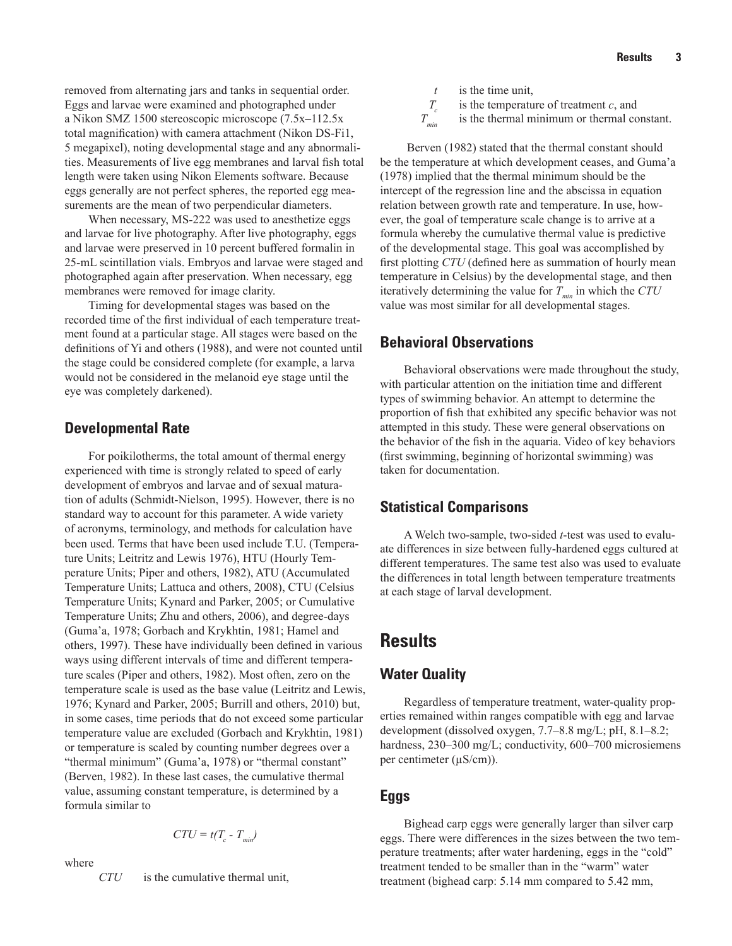removed from alternating jars and tanks in sequential order. Eggs and larvae were examined and photographed under a Nikon SMZ 1500 stereoscopic microscope (7.5x–112.5x total magnification) with camera attachment (Nikon DS-Fi1, 5 megapixel), noting developmental stage and any abnormalities. Measurements of live egg membranes and larval fish total length were taken using Nikon Elements software. Because eggs generally are not perfect spheres, the reported egg measurements are the mean of two perpendicular diameters.

When necessary, MS-222 was used to anesthetize eggs and larvae for live photography. After live photography, eggs and larvae were preserved in 10 percent buffered formalin in 25-mL scintillation vials. Embryos and larvae were staged and photographed again after preservation. When necessary, egg membranes were removed for image clarity.

Timing for developmental stages was based on the recorded time of the first individual of each temperature treatment found at a particular stage. All stages were based on the definitions of Yi and others (1988), and were not counted until the stage could be considered complete (for example, a larva would not be considered in the melanoid eye stage until the eye was completely darkened).

### **Developmental Rate**

For poikilotherms, the total amount of thermal energy experienced with time is strongly related to speed of early development of embryos and larvae and of sexual maturation of adults (Schmidt-Nielson, 1995). However, there is no standard way to account for this parameter. A wide variety of acronyms, terminology, and methods for calculation have been used. Terms that have been used include T.U. (Temperature Units; Leitritz and Lewis 1976), HTU (Hourly Temperature Units; Piper and others, 1982), ATU (Accumulated Temperature Units; Lattuca and others, 2008), CTU (Celsius Temperature Units; Kynard and Parker, 2005; or Cumulative Temperature Units; Zhu and others, 2006), and degree-days (Guma'a, 1978; Gorbach and Krykhtin, 1981; Hamel and others, 1997). These have individually been defined in various ways using different intervals of time and different temperature scales (Piper and others, 1982). Most often, zero on the temperature scale is used as the base value (Leitritz and Lewis, 1976; Kynard and Parker, 2005; Burrill and others, 2010) but, in some cases, time periods that do not exceed some particular temperature value are excluded (Gorbach and Krykhtin, 1981) or temperature is scaled by counting number degrees over a "thermal minimum" (Guma'a, 1978) or "thermal constant" (Berven, 1982). In these last cases, the cumulative thermal value, assuming constant temperature, is determined by a formula similar to

$$
CTU = t(T_c - T_{min})
$$

where

*CTU* is the cumulative thermal unit,

*t* is the time unit,

 $T_c$  is the temperature of treatment *c*, and<br>
is the thermal minimum or thermal co

is the thermal minimum or thermal constant.

 Berven (1982) stated that the thermal constant should be the temperature at which development ceases, and Guma'a (1978) implied that the thermal minimum should be the intercept of the regression line and the abscissa in equation relation between growth rate and temperature. In use, however, the goal of temperature scale change is to arrive at a formula whereby the cumulative thermal value is predictive of the developmental stage. This goal was accomplished by first plotting *CTU* (defined here as summation of hourly mean temperature in Celsius) by the developmental stage, and then iteratively determining the value for  $T_{min}$  in which the  $CTU$ value was most similar for all developmental stages.

## **Behavioral Observations**

Behavioral observations were made throughout the study, with particular attention on the initiation time and different types of swimming behavior. An attempt to determine the proportion of fish that exhibited any specific behavior was not attempted in this study. These were general observations on the behavior of the fish in the aquaria. Video of key behaviors (first swimming, beginning of horizontal swimming) was taken for documentation.

## **Statistical Comparisons**

A Welch two-sample, two-sided *t*-test was used to evaluate differences in size between fully-hardened eggs cultured at different temperatures. The same test also was used to evaluate the differences in total length between temperature treatments at each stage of larval development.

# **Results**

# **Water Quality**

Regardless of temperature treatment, water-quality properties remained within ranges compatible with egg and larvae development (dissolved oxygen, 7.7–8.8 mg/L; pH, 8.1–8.2; hardness, 230–300 mg/L; conductivity, 600–700 microsiemens per centimeter (µS/cm)).

## **Eggs**

Bighead carp eggs were generally larger than silver carp eggs. There were differences in the sizes between the two temperature treatments; after water hardening, eggs in the "cold" treatment tended to be smaller than in the "warm" water treatment (bighead carp: 5.14 mm compared to 5.42 mm,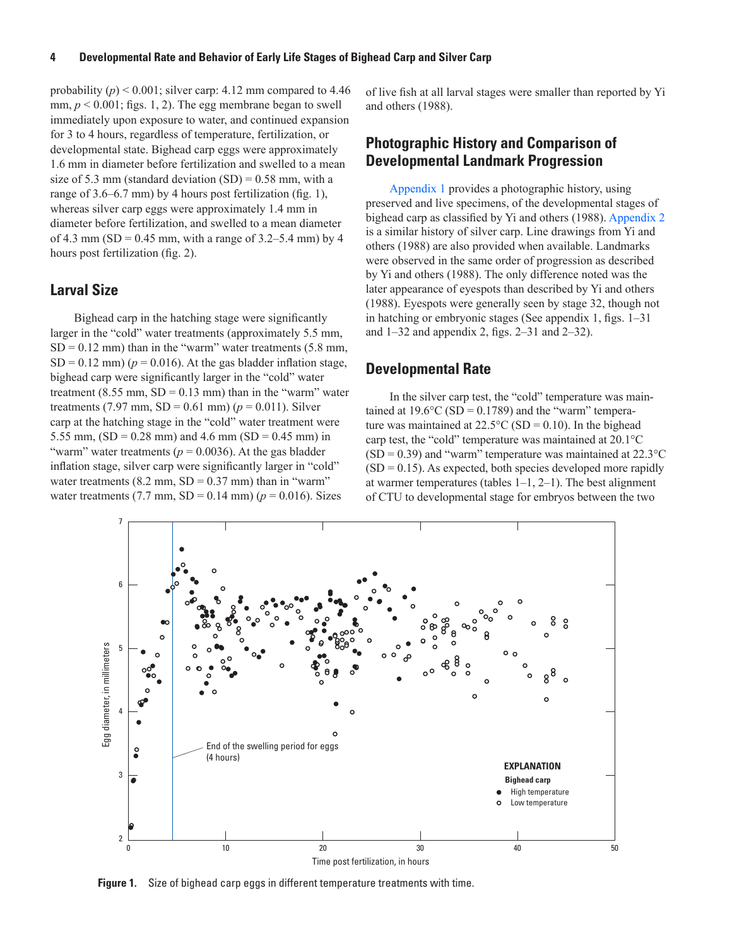probability  $(p)$  < 0.001; silver carp: 4.12 mm compared to 4.46 mm,  $p < 0.001$ ; figs. 1, 2). The egg membrane began to swell immediately upon exposure to water, and continued expansion for 3 to 4 hours, regardless of temperature, fertilization, or developmental state. Bighead carp eggs were approximately 1.6 mm in diameter before fertilization and swelled to a mean size of 5.3 mm (standard deviation  $(SD) = 0.58$  mm, with a range of 3.6–6.7 mm) by 4 hours post fertilization (fig. 1), whereas silver carp eggs were approximately 1.4 mm in diameter before fertilization, and swelled to a mean diameter of 4.3 mm (SD = 0.45 mm, with a range of  $3.2-5.4$  mm) by 4 hours post fertilization (fig. 2).

#### **Larval Size**

Bighead carp in the hatching stage were significantly larger in the "cold" water treatments (approximately 5.5 mm,  $SD = 0.12$  mm) than in the "warm" water treatments  $(5.8$  mm,  $SD = 0.12$  mm) ( $p = 0.016$ ). At the gas bladder inflation stage, bighead carp were significantly larger in the "cold" water treatment  $(8.55 \text{ mm}, SD = 0.13 \text{ mm})$  than in the "warm" water treatments (7.97 mm,  $SD = 0.61$  mm) ( $p = 0.011$ ). Silver carp at the hatching stage in the "cold" water treatment were 5.55 mm,  $(SD = 0.28$  mm) and 4.6 mm  $(SD = 0.45$  mm) in "warm" water treatments ( $p = 0.0036$ ). At the gas bladder inflation stage, silver carp were significantly larger in "cold" water treatments  $(8.2 \text{ mm}, SD = 0.37 \text{ mm})$  than in "warm" water treatments (7.7 mm,  $SD = 0.14$  mm) ( $p = 0.016$ ). Sizes

of live fish at all larval stages were smaller than reported by Yi and others (1988).

### **Photographic History and Comparison of Developmental Landmark Progression**

[Appendix 1](http://pubs.usgs.gov/sir/2011/5076/pdf/Appendix_1.pdf) provides a photographic history, using preserved and live specimens, of the developmental stages of bighead carp as classified by Yi and others (1988). [Appendix](http://pubs.usgs.gov/sir/2011/5076/pdf/Appendix_2.pdf) 2 is a similar history of silver carp. Line drawings from Yi and others (1988) are also provided when available. Landmarks were observed in the same order of progression as described by Yi and others (1988). The only difference noted was the later appearance of eyespots than described by Yi and others (1988). Eyespots were generally seen by stage 32, though not in hatching or embryonic stages (See appendix 1, figs. 1–31 and 1–32 and appendix 2, figs. 2–31 and 2–32).

#### **Developmental Rate**

In the silver carp test, the "cold" temperature was maintained at  $19.6^{\circ}$ C (SD = 0.1789) and the "warm" temperature was maintained at  $22.5^{\circ}$ C (SD = 0.10). In the bighead carp test, the "cold" temperature was maintained at 20.1°C  $(SD = 0.39)$  and "warm" temperature was maintained at 22.3 °C  $(SD = 0.15)$ . As expected, both species developed more rapidly at warmer temperatures (tables 1–1, 2–1). The best alignment of CTU to developmental stage for embryos between the two



**Figure 1.** Size of bighead carp eggs in different temperature treatments with time.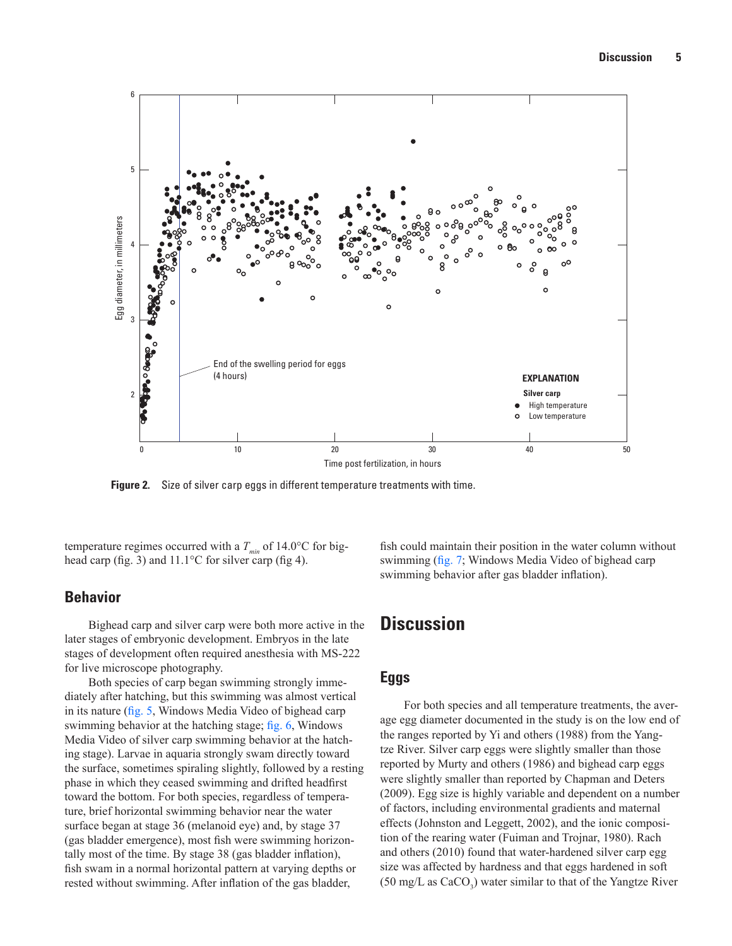

temperature regimes occurred with a  $T_{min}$  of 14.0°C for bighead carp (fig. 3) and 11.1°C for silver carp (fig 4).

#### **Behavior**

Bighead carp and silver carp were both more active in the later stages of embryonic development. Embryos in the late stages of development often required anesthesia with MS-222 for live microscope photography.

Both species of carp began swimming strongly immediately after hatching, but this swimming was almost vertical in its nature ([fig. 5,](http://pubs.usgs.gov/sir/2011/5076/pdf/Figure 5.wmv) Windows Media Video of bighead carp swimming behavior at the hatching stage; [fig. 6](http://pubs.usgs.gov/sir/2011/5076/pdf/Figure 6 short.wmv), Windows Media Video of silver carp swimming behavior at the hatching stage). Larvae in aquaria strongly swam directly toward the surface, sometimes spiraling slightly, followed by a resting phase in which they ceased swimming and drifted headfirst toward the bottom. For both species, regardless of temperature, brief horizontal swimming behavior near the water surface began at stage 36 (melanoid eye) and, by stage 37 (gas bladder emergence), most fish were swimming horizontally most of the time. By stage 38 (gas bladder inflation), fish swam in a normal horizontal pattern at varying depths or rested without swimming. After inflation of the gas bladder,

fish could maintain their position in the water column without swimming ([fig. 7;](http://pubs.usgs.gov/sir/2011/5076/pdf/Figure 7 short.wmv) Windows Media Video of bighead carp swimming behavior after gas bladder inflation).

# **Discussion**

#### **Eggs**

For both species and all temperature treatments, the average egg diameter documented in the study is on the low end of the ranges reported by Yi and others (1988) from the Yangtze River. Silver carp eggs were slightly smaller than those reported by Murty and others (1986) and bighead carp eggs were slightly smaller than reported by Chapman and Deters (2009). Egg size is highly variable and dependent on a number of factors, including environmental gradients and maternal effects (Johnston and Leggett, 2002), and the ionic composition of the rearing water (Fuiman and Trojnar, 1980). Rach and others (2010) found that water-hardened silver carp egg size was affected by hardness and that eggs hardened in soft  $(50 \text{ mg/L as } \text{CaCO}_3)$  water similar to that of the Yangtze River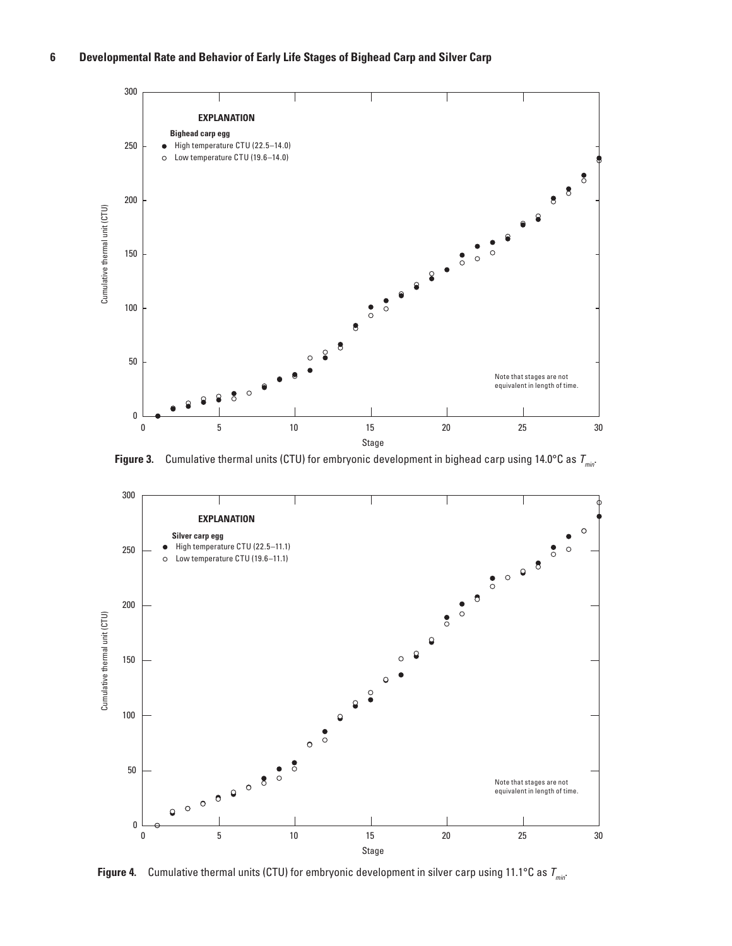

**Figure 3.** Cumulative thermal units (CTU) for embryonic development in bighead carp using 14.0°C as  $T_{min}$ .



**Figure 4.** Cumulative thermal units (CTU) for embryonic development in silver carp using 11.1°C as  $T_{min}$ .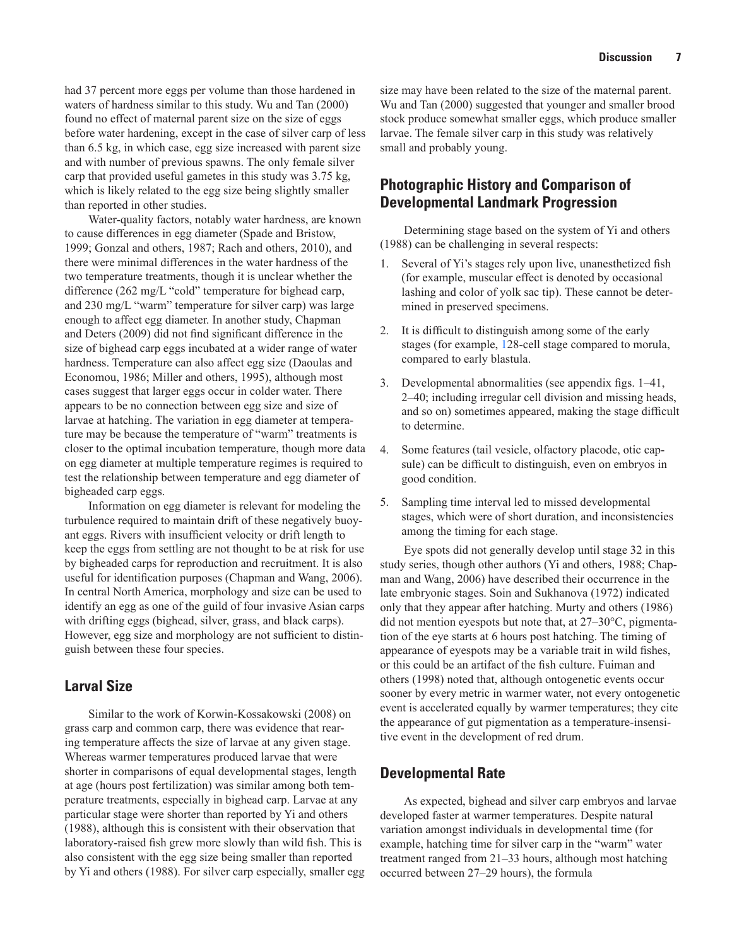had 37 percent more eggs per volume than those hardened in waters of hardness similar to this study. Wu and Tan (2000) found no effect of maternal parent size on the size of eggs before water hardening, except in the case of silver carp of less than 6.5 kg, in which case, egg size increased with parent size and with number of previous spawns. The only female silver carp that provided useful gametes in this study was 3.75 kg, which is likely related to the egg size being slightly smaller than reported in other studies.

Water-quality factors, notably water hardness, are known to cause differences in egg diameter (Spade and Bristow, 1999; Gonzal and others, 1987; Rach and others, 2010), and there were minimal differences in the water hardness of the two temperature treatments, though it is unclear whether the difference (262 mg/L "cold" temperature for bighead carp, and 230 mg/L "warm" temperature for silver carp) was large enough to affect egg diameter. In another study, Chapman and Deters (2009) did not find significant difference in the size of bighead carp eggs incubated at a wider range of water hardness. Temperature can also affect egg size (Daoulas and Economou, 1986; Miller and others, 1995), although most cases suggest that larger eggs occur in colder water. There appears to be no connection between egg size and size of larvae at hatching. The variation in egg diameter at temperature may be because the temperature of "warm" treatments is closer to the optimal incubation temperature, though more data on egg diameter at multiple temperature regimes is required to test the relationship between temperature and egg diameter of bigheaded carp eggs.

Information on egg diameter is relevant for modeling the turbulence required to maintain drift of these negatively buoyant eggs. Rivers with insufficient velocity or drift length to keep the eggs from settling are not thought to be at risk for use by bigheaded carps for reproduction and recruitment. It is also useful for identification purposes (Chapman and Wang, 2006). In central North America, morphology and size can be used to identify an egg as one of the guild of four invasive Asian carps with drifting eggs (bighead, silver, grass, and black carps). However, egg size and morphology are not sufficient to distinguish between these four species.

### **Larval Size**

Similar to the work of Korwin-Kossakowski (2008) on grass carp and common carp, there was evidence that rearing temperature affects the size of larvae at any given stage. Whereas warmer temperatures produced larvae that were shorter in comparisons of equal developmental stages, length at age (hours post fertilization) was similar among both temperature treatments, especially in bighead carp. Larvae at any particular stage were shorter than reported by Yi and others (1988), although this is consistent with their observation that laboratory-raised fish grew more slowly than wild fish. This is also consistent with the egg size being smaller than reported by Yi and others (1988). For silver carp especially, smaller egg

size may have been related to the size of the maternal parent. Wu and Tan (2000) suggested that younger and smaller brood stock produce somewhat smaller eggs, which produce smaller larvae. The female silver carp in this study was relatively small and probably young.

# **Photographic History and Comparison of Developmental Landmark Progression**

Determining stage based on the system of Yi and others (1988) can be challenging in several respects:

- 1. Several of Yi's stages rely upon live, unanesthetized fish (for example, muscular effect is denoted by occasional lashing and color of yolk sac tip). These cannot be determined in preserved specimens.
- 2. It is difficult to distinguish among some of the early stages (for example, 128-cell stage compared to morula, compared to early blastula.
- 3. Developmental abnormalities (see appendix figs. 1–41, 2–40; including irregular cell division and missing heads, and so on) sometimes appeared, making the stage difficult to determine.
- 4. Some features (tail vesicle, olfactory placode, otic capsule) can be difficult to distinguish, even on embryos in good condition.
- 5. Sampling time interval led to missed developmental stages, which were of short duration, and inconsistencies among the timing for each stage.

Eye spots did not generally develop until stage 32 in this study series, though other authors (Yi and others, 1988; Chapman and Wang, 2006) have described their occurrence in the late embryonic stages. Soin and Sukhanova (1972) indicated only that they appear after hatching. Murty and others (1986) did not mention eyespots but note that, at 27–30°C, pigmentation of the eye starts at 6 hours post hatching. The timing of appearance of eyespots may be a variable trait in wild fishes, or this could be an artifact of the fish culture. Fuiman and others (1998) noted that, although ontogenetic events occur sooner by every metric in warmer water, not every ontogenetic event is accelerated equally by warmer temperatures; they cite the appearance of gut pigmentation as a temperature-insensitive event in the development of red drum.

#### **Developmental Rate**

As expected, bighead and silver carp embryos and larvae developed faster at warmer temperatures. Despite natural variation amongst individuals in developmental time (for example, hatching time for silver carp in the "warm" water treatment ranged from 21–33 hours, although most hatching occurred between 27–29 hours), the formula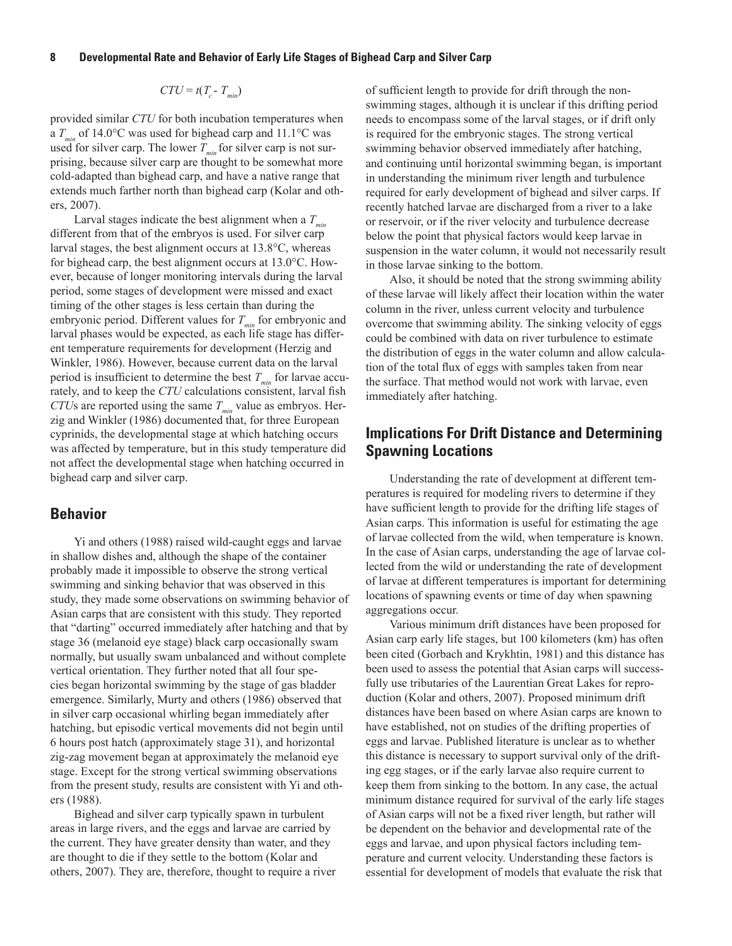#### **8 Developmental Rate and Behavior of Early Life Stages of Bighead Carp and Silver Carp**

$$
CTU = t(T_c - T_{min})
$$

provided similar *CTU* for both incubation temperatures when a  $T_{\text{min}}$  of 14.0°C was used for bighead carp and 11.1°C was used for silver carp. The lower  $T_{min}$  for silver carp is not surprising, because silver carp are thought to be somewhat more cold-adapted than bighead carp, and have a native range that extends much farther north than bighead carp (Kolar and others, 2007).

Larval stages indicate the best alignment when a  $T_{min}$ different from that of the embryos is used. For silver carp larval stages, the best alignment occurs at 13.8°C, whereas for bighead carp, the best alignment occurs at 13.0°C. However, because of longer monitoring intervals during the larval period, some stages of development were missed and exact timing of the other stages is less certain than during the embryonic period. Different values for  $T_{min}$  for embryonic and larval phases would be expected, as each life stage has different temperature requirements for development (Herzig and Winkler, 1986). However, because current data on the larval period is insufficient to determine the best  $T_{min}$  for larvae accurately, and to keep the *CTU* calculations consistent, larval fish *CTUs* are reported using the same  $T_{min}$  value as embryos. Herzig and Winkler (1986) documented that, for three European cyprinids, the developmental stage at which hatching occurs was affected by temperature, but in this study temperature did not affect the developmental stage when hatching occurred in bighead carp and silver carp.

#### **Behavior**

Yi and others (1988) raised wild-caught eggs and larvae in shallow dishes and, although the shape of the container probably made it impossible to observe the strong vertical swimming and sinking behavior that was observed in this study, they made some observations on swimming behavior of Asian carps that are consistent with this study. They reported that "darting" occurred immediately after hatching and that by stage 36 (melanoid eye stage) black carp occasionally swam normally, but usually swam unbalanced and without complete vertical orientation. They further noted that all four species began horizontal swimming by the stage of gas bladder emergence. Similarly, Murty and others (1986) observed that in silver carp occasional whirling began immediately after hatching, but episodic vertical movements did not begin until 6 hours post hatch (approximately stage 31), and horizontal zig-zag movement began at approximately the melanoid eye stage. Except for the strong vertical swimming observations from the present study, results are consistent with Yi and others (1988).

Bighead and silver carp typically spawn in turbulent areas in large rivers, and the eggs and larvae are carried by the current. They have greater density than water, and they are thought to die if they settle to the bottom (Kolar and others, 2007). They are, therefore, thought to require a river of sufficient length to provide for drift through the nonswimming stages, although it is unclear if this drifting period needs to encompass some of the larval stages, or if drift only is required for the embryonic stages. The strong vertical swimming behavior observed immediately after hatching, and continuing until horizontal swimming began, is important in understanding the minimum river length and turbulence required for early development of bighead and silver carps. If recently hatched larvae are discharged from a river to a lake or reservoir, or if the river velocity and turbulence decrease below the point that physical factors would keep larvae in suspension in the water column, it would not necessarily result in those larvae sinking to the bottom.

Also, it should be noted that the strong swimming ability of these larvae will likely affect their location within the water column in the river, unless current velocity and turbulence overcome that swimming ability. The sinking velocity of eggs could be combined with data on river turbulence to estimate the distribution of eggs in the water column and allow calculation of the total flux of eggs with samples taken from near the surface. That method would not work with larvae, even immediately after hatching.

# **Implications For Drift Distance and Determining Spawning Locations**

Understanding the rate of development at different temperatures is required for modeling rivers to determine if they have sufficient length to provide for the drifting life stages of Asian carps. This information is useful for estimating the age of larvae collected from the wild, when temperature is known. In the case of Asian carps, understanding the age of larvae collected from the wild or understanding the rate of development of larvae at different temperatures is important for determining locations of spawning events or time of day when spawning aggregations occur.

Various minimum drift distances have been proposed for Asian carp early life stages, but 100 kilometers (km) has often been cited (Gorbach and Krykhtin, 1981) and this distance has been used to assess the potential that Asian carps will successfully use tributaries of the Laurentian Great Lakes for reproduction (Kolar and others, 2007). Proposed minimum drift distances have been based on where Asian carps are known to have established, not on studies of the drifting properties of eggs and larvae. Published literature is unclear as to whether this distance is necessary to support survival only of the drifting egg stages, or if the early larvae also require current to keep them from sinking to the bottom. In any case, the actual minimum distance required for survival of the early life stages of Asian carps will not be a fixed river length, but rather will be dependent on the behavior and developmental rate of the eggs and larvae, and upon physical factors including temperature and current velocity. Understanding these factors is essential for development of models that evaluate the risk that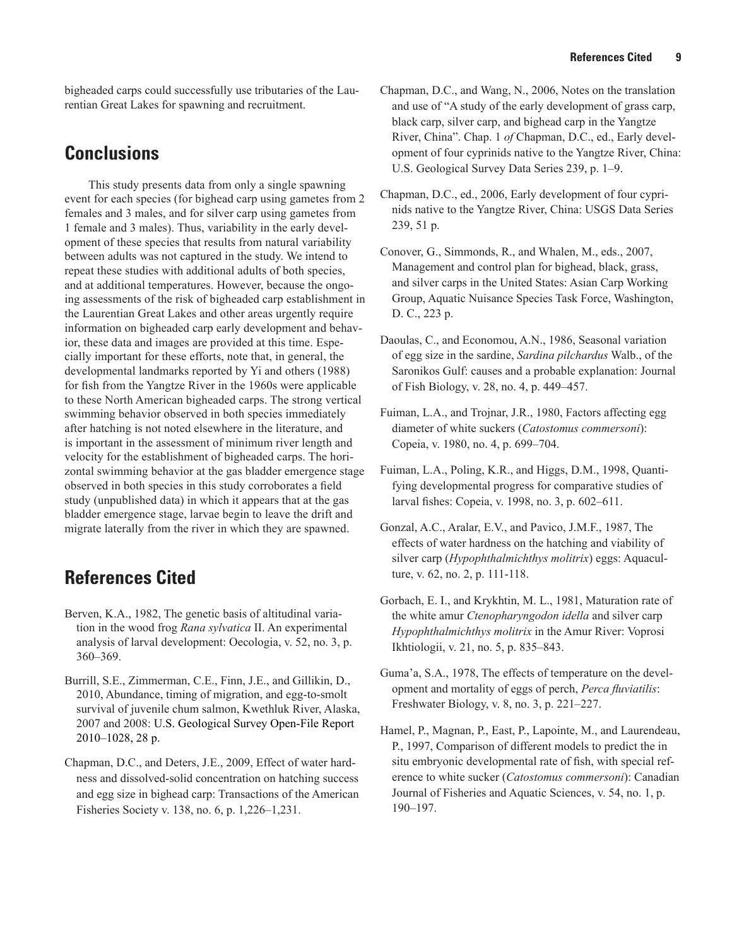bigheaded carps could successfully use tributaries of the Laurentian Great Lakes for spawning and recruitment.

# **Conclusions**

This study presents data from only a single spawning event for each species (for bighead carp using gametes from 2 females and 3 males, and for silver carp using gametes from 1 female and 3 males). Thus, variability in the early development of these species that results from natural variability between adults was not captured in the study. We intend to repeat these studies with additional adults of both species, and at additional temperatures. However, because the ongoing assessments of the risk of bigheaded carp establishment in the Laurentian Great Lakes and other areas urgently require information on bigheaded carp early development and behavior, these data and images are provided at this time. Especially important for these efforts, note that, in general, the developmental landmarks reported by Yi and others (1988) for fish from the Yangtze River in the 1960s were applicable to these North American bigheaded carps. The strong vertical swimming behavior observed in both species immediately after hatching is not noted elsewhere in the literature, and is important in the assessment of minimum river length and velocity for the establishment of bigheaded carps. The horizontal swimming behavior at the gas bladder emergence stage observed in both species in this study corroborates a field study (unpublished data) in which it appears that at the gas bladder emergence stage, larvae begin to leave the drift and migrate laterally from the river in which they are spawned.

# **References Cited**

- Berven, K.A., 1982, The genetic basis of altitudinal variation in the wood frog *Rana sylvatica* II. An experimental analysis of larval development: Oecologia, v. 52, no. 3, p. 360–369.
- Burrill, S.E., Zimmerman, C.E., Finn, J.E., and Gillikin, D., 2010, Abundance, timing of migration, and egg-to-smolt survival of juvenile chum salmon, Kwethluk River, Alaska, 2007 and 2008: U.S. Geological Survey Open-File Report 2010–1028, 28 p.
- Chapman, D.C., and Deters, J.E., 2009, Effect of water hardness and dissolved-solid concentration on hatching success and egg size in bighead carp: Transactions of the American Fisheries Society v. 138, no. 6, p. 1,226–1,231.
- Chapman, D.C., and Wang, N., 2006, Notes on the translation and use of "A study of the early development of grass carp, black carp, silver carp, and bighead carp in the Yangtze River, China". Chap. 1 *of* Chapman, D.C., ed., Early development of four cyprinids native to the Yangtze River, China: U.S. Geological Survey Data Series 239, p. 1–9.
- Chapman, D.C., ed., 2006, Early development of four cyprinids native to the Yangtze River, China: USGS Data Series 239, 51 p.
- Conover, G., Simmonds, R., and Whalen, M., eds., 2007, Management and control plan for bighead, black, grass, and silver carps in the United States: Asian Carp Working Group, Aquatic Nuisance Species Task Force, Washington, D. C., 223 p.
- Daoulas, C., and Economou, A.N., 1986, Seasonal variation of egg size in the sardine, *Sardina pilchardus* Walb., of the Saronikos Gulf: causes and a probable explanation: Journal of Fish Biology, v. 28, no. 4, p. 449–457.
- Fuiman, L.A., and Trojnar, J.R., 1980, Factors affecting egg diameter of white suckers (*Catostomus commersoni*): Copeia, v. 1980, no. 4, p. 699–704.
- Fuiman, L.A., Poling, K.R., and Higgs, D.M., 1998, Quantifying developmental progress for comparative studies of larval fishes: Copeia, v. 1998, no. 3, p. 602–611.
- Gonzal, A.C., Aralar, E.V., and Pavico, J.M.F., 1987, The effects of water hardness on the hatching and viability of silver carp (*Hypophthalmichthys molitrix*) eggs: Aquaculture, v. 62, no. 2, p. 111-118.
- Gorbach, E. I., and Krykhtin, M. L., 1981, Maturation rate of the white amur *Ctenopharyngodon idella* and silver carp *Hypophthalmichthys molitrix* in the Amur River: Voprosi Ikhtiologii, v. 21, no. 5, p. 835–843.
- Guma'a, S.A., 1978, The effects of temperature on the development and mortality of eggs of perch, *Perca fluviatilis*: Freshwater Biology, v. 8, no. 3, p. 221–227.
- Hamel, P., Magnan, P., East, P., Lapointe, M., and Laurendeau, P., 1997, Comparison of different models to predict the in situ embryonic developmental rate of fish, with special reference to white sucker (*Catostomus commersoni*): Canadian Journal of Fisheries and Aquatic Sciences, v. 54, no. 1, p. 190–197.